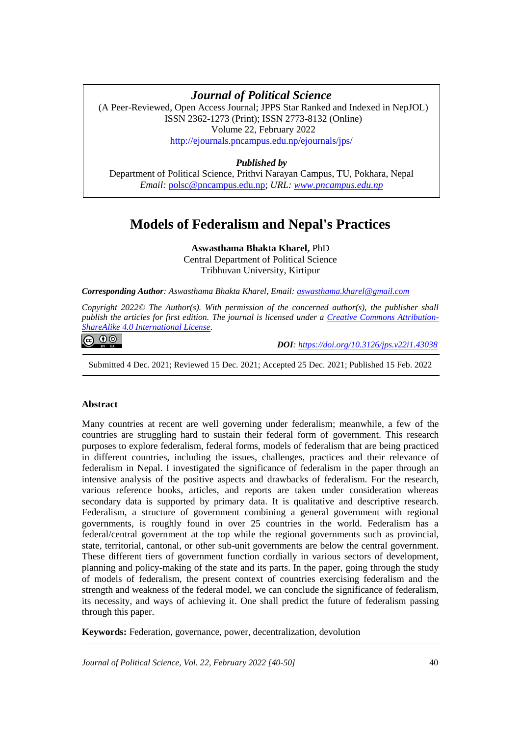# **Models of Federalism and Nepal's Practices** *Journal of Political Science*

(A Peer-Reviewed, Open Access Journal; JPPS Star Ranked and Indexed in NepJOL) ISSN 2362-1273 (Print); ISSN 2773-8132 (Online) Volume 22, February 2022 <http://ejournals.pncampus.edu.np/ejournals/jps/>

## *Published by*

Department of Political Science, Prithvi Narayan Campus, TU, Pokhara, Nepal *Email:* [polsc@pncampus.edu.np;](mailto:polsc@pncampus.edu.np) *URL: [www.pncampus.edu.np](http://www.pncampus.edu.np/)*

## **Models of Federalism and Nepal's Practices**

**Aswasthama Bhakta Kharel,** PhD Central Department of Political Science Tribhuvan University, Kirtipur

*Corresponding Author: Aswasthama Bhakta Kharel, Email[: aswasthama.kharel@gmail.com](mailto:aswasthama.kharel@gmail.com)*

*Copyright 2022© The Author(s). With permission of the concerned author(s), the publisher shall publish the articles for first edition. The journal is licensed under a [Creative Commons Attribution-](https://creativecommons.org/licenses/by-sa/4.0/)[ShareAlike 4.0 International License.](https://creativecommons.org/licenses/by-sa/4.0/)*

## **@ 0 ම**

 *DOI: <https://doi.org/10.3126/jps.v22i1.43038>*

Submitted 4 Dec. 2021; Reviewed 15 Dec. 2021; Accepted 25 Dec. 2021; Published 15 Feb. 2022

#### **Abstract**

Many countries at recent are well governing under federalism; meanwhile, a few of the countries are struggling hard to sustain their federal form of government. This research purposes to explore federalism, federal forms, models of federalism that are being practiced in different countries, including the issues, challenges, practices and their relevance of federalism in Nepal. I investigated the significance of federalism in the paper through an intensive analysis of the positive aspects and drawbacks of federalism. For the research, various reference books, articles, and reports are taken under consideration whereas secondary data is supported by primary data. It is qualitative and descriptive research. Federalism, a structure of government combining a general government with regional governments, is roughly found in over 25 countries in the world. Federalism has a federal/central government at the top while the regional governments such as provincial, state, territorial, cantonal, or other sub-unit governments are below the central government. These different tiers of government function cordially in various sectors of development, planning and policy-making of the state and its parts. In the paper, going through the study of models of federalism, the present context of countries exercising federalism and the strength and weakness of the federal model, we can conclude the significance of federalism, its necessity, and ways of achieving it. One shall predict the future of federalism passing through this paper.

**Keywords:** Federation, governance, power, decentralization, devolution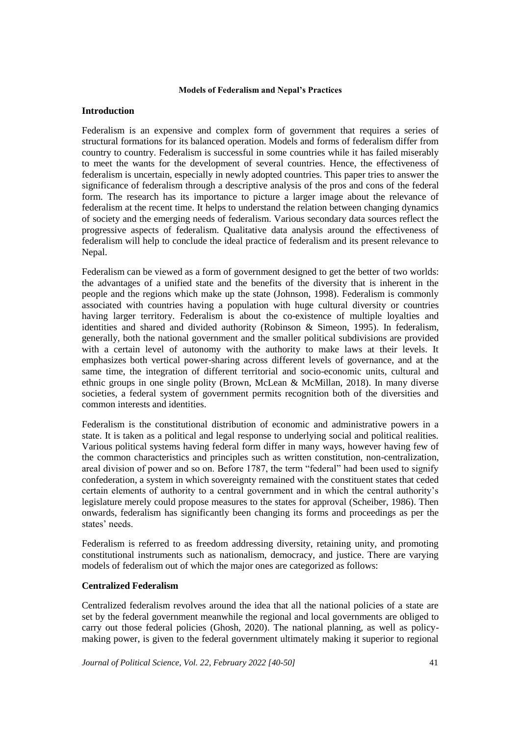## **Introduction**

Federalism is an expensive and complex form of government that requires a series of structural formations for its balanced operation. Models and forms of federalism differ from country to country. Federalism is successful in some countries while it has failed miserably to meet the wants for the development of several countries. Hence, the effectiveness of federalism is uncertain, especially in newly adopted countries. This paper tries to answer the significance of federalism through a descriptive analysis of the pros and cons of the federal form. The research has its importance to picture a larger image about the relevance of federalism at the recent time. It helps to understand the relation between changing dynamics of society and the emerging needs of federalism. Various secondary data sources reflect the progressive aspects of federalism. Qualitative data analysis around the effectiveness of federalism will help to conclude the ideal practice of federalism and its present relevance to Nepal.

Federalism can be viewed as a form of government designed to get the better of two worlds: the advantages of a unified state and the benefits of the diversity that is inherent in the people and the regions which make up the state (Johnson, 1998). Federalism is commonly associated with countries having a population with huge cultural diversity or countries having larger territory. Federalism is about the co-existence of multiple loyalties and identities and shared and divided authority (Robinson & Simeon, 1995). In federalism, generally, both the national government and the smaller political subdivisions are provided with a certain level of autonomy with the authority to make laws at their levels. It emphasizes both vertical power-sharing across different levels of governance, and at the same time, the integration of different territorial and socio-economic units, cultural and ethnic groups in one single polity (Brown, McLean & McMillan, 2018). In many diverse societies, a federal system of government permits recognition both of the diversities and common interests and identities.

Federalism is the constitutional distribution of economic and administrative powers in a state. It is taken as a political and legal response to underlying social and political realities. Various political systems having federal form differ in many ways, however having few of the common characteristics and principles such as written constitution, non-centralization, areal division of power and so on. Before 1787, the term "federal" had been used to signify confederation, a system in which sovereignty remained with the constituent states that ceded certain elements of authority to a central government and in which the central authority's legislature merely could propose measures to the states for approval (Scheiber, 1986). Then onwards, federalism has significantly been changing its forms and proceedings as per the states' needs.

Federalism is referred to as freedom addressing diversity, retaining unity, and promoting constitutional instruments such as nationalism, democracy, and justice. There are varying models of federalism out of which the major ones are categorized as follows:

## **Centralized Federalism**

Centralized federalism revolves around the idea that all the national policies of a state are set by the federal government meanwhile the regional and local governments are obliged to carry out those federal policies (Ghosh, 2020). The national planning, as well as policymaking power, is given to the federal government ultimately making it superior to regional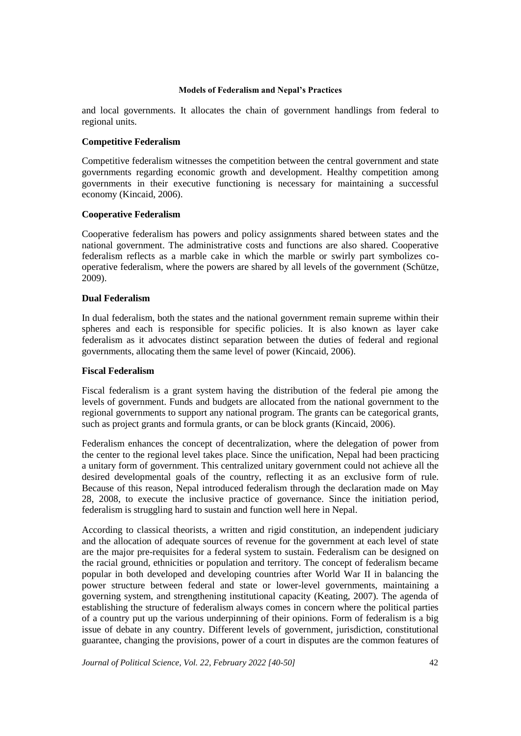and local governments. It allocates the chain of government handlings from federal to regional units.

## **Competitive Federalism**

Competitive federalism witnesses the competition between the central government and state governments regarding economic growth and development. Healthy competition among governments in their executive functioning is necessary for maintaining a successful economy (Kincaid, 2006).

## **Cooperative Federalism**

Cooperative federalism has powers and policy assignments shared between states and the national government. The administrative costs and functions are also shared. Cooperative federalism reflects as a marble cake in which the marble or swirly part symbolizes cooperative federalism, where the powers are shared by all levels of the government (Schütze, 2009).

## **Dual Federalism**

In dual federalism, both the states and the national government remain supreme within their spheres and each is responsible for specific policies. It is also known as layer cake federalism as it advocates distinct separation between the duties of federal and regional governments, allocating them the same level of power (Kincaid, 2006).

## **Fiscal Federalism**

Fiscal federalism is a grant system having the distribution of the federal pie among the levels of government. Funds and budgets are allocated from the national government to the regional governments to support any national program. The grants can be categorical grants, such as project grants and formula grants, or can be block grants (Kincaid, 2006).

Federalism enhances the concept of decentralization, where the delegation of power from the center to the regional level takes place. Since the unification, Nepal had been practicing a unitary form of government. This centralized unitary government could not achieve all the desired developmental goals of the country, reflecting it as an exclusive form of rule. Because of this reason, Nepal introduced federalism through the declaration made on May 28, 2008, to execute the inclusive practice of governance. Since the initiation period, federalism is struggling hard to sustain and function well here in Nepal.

According to classical theorists, a written and rigid constitution, an independent judiciary and the allocation of adequate sources of revenue for the government at each level of state are the major pre-requisites for a federal system to sustain. Federalism can be designed on the racial ground, ethnicities or population and territory. The concept of federalism became popular in both developed and developing countries after World War II in balancing the power structure between federal and state or lower-level governments, maintaining a governing system, and strengthening institutional capacity (Keating, 2007). The agenda of establishing the structure of federalism always comes in concern where the political parties of a country put up the various underpinning of their opinions. Form of federalism is a big issue of debate in any country. Different levels of government, jurisdiction, constitutional guarantee, changing the provisions, power of a court in disputes are the common features of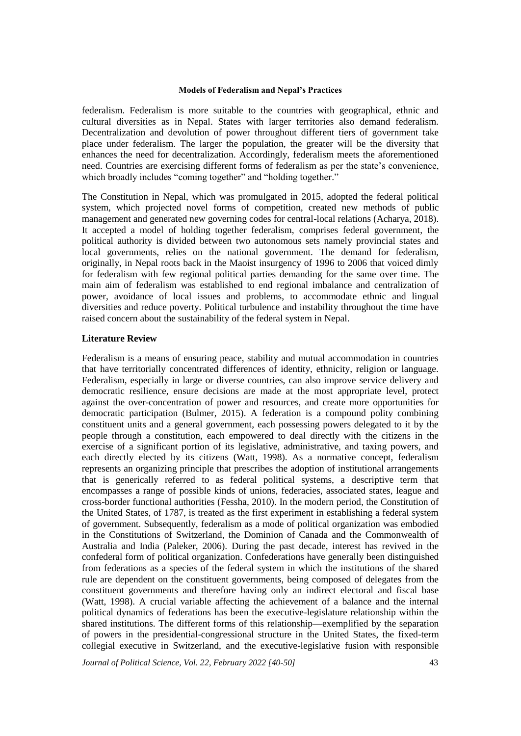federalism. Federalism is more suitable to the countries with geographical, ethnic and cultural diversities as in Nepal. States with larger territories also demand federalism. Decentralization and devolution of power throughout different tiers of government take place under federalism. The larger the population, the greater will be the diversity that enhances the need for decentralization. Accordingly, federalism meets the aforementioned need. Countries are exercising different forms of federalism as per the state's convenience, which broadly includes "coming together" and "holding together."

The Constitution in Nepal, which was promulgated in 2015, adopted the federal political system, which projected novel forms of competition, created new methods of public management and generated new governing codes for central-local relations (Acharya, 2018). It accepted a model of holding together federalism, comprises federal government, the political authority is divided between two autonomous sets namely provincial states and local governments, relies on the national government. The demand for federalism, originally, in Nepal roots back in the Maoist insurgency of 1996 to 2006 that voiced dimly for federalism with few regional political parties demanding for the same over time. The main aim of federalism was established to end regional imbalance and centralization of power, avoidance of local issues and problems, to accommodate ethnic and lingual diversities and reduce poverty. Political turbulence and instability throughout the time have raised concern about the sustainability of the federal system in Nepal.

## **Literature Review**

Federalism is a means of ensuring peace, stability and mutual accommodation in countries that have territorially concentrated differences of identity, ethnicity, religion or language. Federalism, especially in large or diverse countries, can also improve service delivery and democratic resilience, ensure decisions are made at the most appropriate level, protect against the over-concentration of power and resources, and create more opportunities for democratic participation (Bulmer, 2015). A federation is a compound polity combining constituent units and a general government, each possessing powers delegated to it by the people through a constitution, each empowered to deal directly with the citizens in the exercise of a significant portion of its legislative, administrative, and taxing powers, and each directly elected by its citizens (Watt, 1998). As a normative concept, federalism represents an organizing principle that prescribes the adoption of institutional arrangements that is generically referred to as federal political systems, a descriptive term that encompasses a range of possible kinds of unions, federacies, associated states, league and cross-border functional authorities (Fessha, 2010). In the modern period, the Constitution of the United States, of 1787, is treated as the first experiment in establishing a federal system of government. Subsequently, federalism as a mode of political organization was embodied in the Constitutions of Switzerland, the Dominion of Canada and the Commonwealth of Australia and India (Paleker, 2006). During the past decade, interest has revived in the confederal form of political organization. Confederations have generally been distinguished from federations as a species of the federal system in which the institutions of the shared rule are dependent on the constituent governments, being composed of delegates from the constituent governments and therefore having only an indirect electoral and fiscal base (Watt, 1998). A crucial variable affecting the achievement of a balance and the internal political dynamics of federations has been the executive-legislature relationship within the shared institutions. The different forms of this relationship—exemplified by the separation of powers in the presidential-congressional structure in the United States, the fixed-term collegial executive in Switzerland, and the executive-legislative fusion with responsible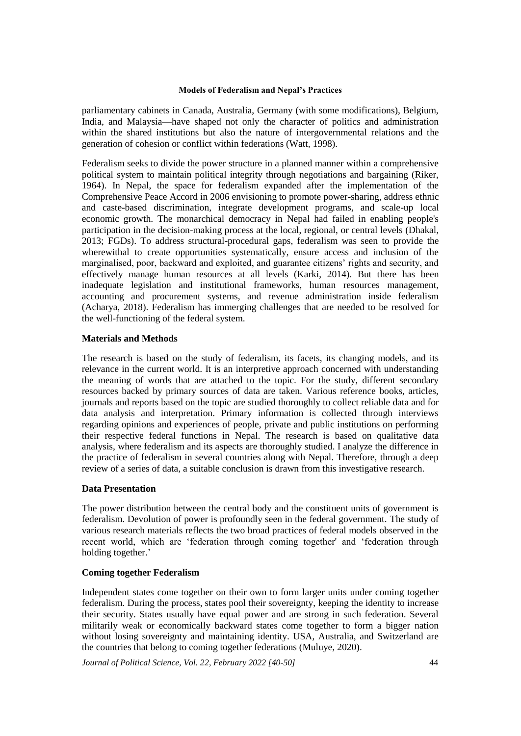parliamentary cabinets in Canada, Australia, Germany (with some modifications), Belgium, India, and Malaysia—have shaped not only the character of politics and administration within the shared institutions but also the nature of intergovernmental relations and the generation of cohesion or conflict within federations (Watt, 1998).

Federalism seeks to divide the power structure in a planned manner within a comprehensive political system to maintain political integrity through negotiations and bargaining (Riker, 1964). In Nepal, the space for federalism expanded after the implementation of the Comprehensive Peace Accord in 2006 envisioning to promote power-sharing, address ethnic and caste-based discrimination, integrate development programs, and scale-up local economic growth. The monarchical democracy in Nepal had failed in enabling people's participation in the decision-making process at the local, regional, or central levels (Dhakal, 2013; FGDs). To address structural-procedural gaps, federalism was seen to provide the wherewithal to create opportunities systematically, ensure access and inclusion of the marginalised, poor, backward and exploited, and guarantee citizens' rights and security, and effectively manage human resources at all levels (Karki, 2014). But there has been inadequate legislation and institutional frameworks, human resources management, accounting and procurement systems, and revenue administration inside federalism (Acharya, 2018). Federalism has immerging challenges that are needed to be resolved for the well-functioning of the federal system.

## **Materials and Methods**

The research is based on the study of federalism, its facets, its changing models, and its relevance in the current world. It is an interpretive approach concerned with understanding the meaning of words that are attached to the topic. For the study, different secondary resources backed by primary sources of data are taken. Various reference books, articles, journals and reports based on the topic are studied thoroughly to collect reliable data and for data analysis and interpretation. Primary information is collected through interviews regarding opinions and experiences of people, private and public institutions on performing their respective federal functions in Nepal. The research is based on qualitative data analysis, where federalism and its aspects are thoroughly studied. I analyze the difference in the practice of federalism in several countries along with Nepal. Therefore, through a deep review of a series of data, a suitable conclusion is drawn from this investigative research.

## **Data Presentation**

The power distribution between the central body and the constituent units of government is federalism. Devolution of power is profoundly seen in the federal government. The study of various research materials reflects the two broad practices of federal models observed in the recent world, which are 'federation through coming together' and 'federation through holding together.'

## **Coming together Federalism**

Independent states come together on their own to form larger units under coming together federalism. During the process, states pool their sovereignty, keeping the identity to increase their security. States usually have equal power and are strong in such federation. Several militarily weak or economically backward states come together to form a bigger nation without losing sovereignty and maintaining identity. USA, Australia, and Switzerland are the countries that belong to coming together federations (Muluye, 2020).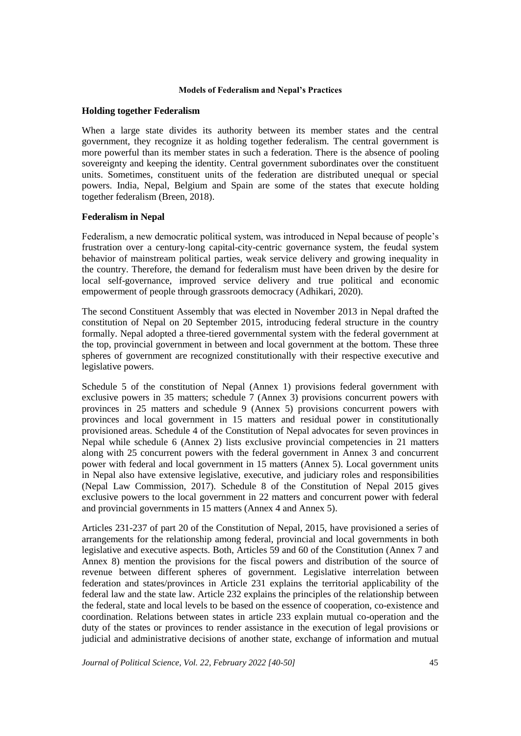#### **Holding together Federalism**

When a large state divides its authority between its member states and the central government, they recognize it as holding together federalism. The central government is more powerful than its member states in such a federation. There is the absence of pooling sovereignty and keeping the identity. Central government subordinates over the constituent units. Sometimes, constituent units of the federation are distributed unequal or special powers. India, Nepal, Belgium and Spain are some of the states that execute holding together federalism (Breen, 2018).

## **Federalism in Nepal**

Federalism, a new democratic political system, was introduced in Nepal because of people's frustration over a century-long capital-city-centric governance system, the feudal system behavior of mainstream political parties, weak service delivery and growing inequality in the country. Therefore, the demand for federalism must have been driven by the desire for local self-governance, improved service delivery and true political and economic empowerment of people through grassroots democracy (Adhikari, 2020).

The second Constituent Assembly that was elected in November 2013 in Nepal drafted the constitution of Nepal on 20 September 2015, introducing federal structure in the country formally. Nepal adopted a three-tiered governmental system with the federal government at the top, provincial government in between and local government at the bottom. These three spheres of government are recognized constitutionally with their respective executive and legislative powers.

Schedule 5 of the constitution of Nepal (Annex 1) provisions federal government with exclusive powers in 35 matters; schedule 7 (Annex 3) provisions concurrent powers with provinces in 25 matters and schedule 9 (Annex 5) provisions concurrent powers with provinces and local government in 15 matters and residual power in constitutionally provisioned areas. Schedule 4 of the Constitution of Nepal advocates for seven provinces in Nepal while schedule 6 (Annex 2) lists exclusive provincial competencies in 21 matters along with 25 concurrent powers with the federal government in Annex 3 and concurrent power with federal and local government in 15 matters (Annex 5). Local government units in Nepal also have extensive legislative, executive, and judiciary roles and responsibilities (Nepal Law Commission, 2017). Schedule 8 of the Constitution of Nepal 2015 gives exclusive powers to the local government in 22 matters and concurrent power with federal and provincial governments in 15 matters (Annex 4 and Annex 5).

Articles 231-237 of part 20 of the Constitution of Nepal, 2015, have provisioned a series of arrangements for the relationship among federal, provincial and local governments in both legislative and executive aspects. Both, Articles 59 and 60 of the Constitution (Annex 7 and Annex 8) mention the provisions for the fiscal powers and distribution of the source of revenue between different spheres of government. Legislative interrelation between federation and states/provinces in Article 231 explains the territorial applicability of the federal law and the state law. Article 232 explains the principles of the relationship between the federal, state and local levels to be based on the essence of cooperation, co-existence and coordination. Relations between states in article 233 explain mutual co-operation and the duty of the states or provinces to render assistance in the execution of legal provisions or judicial and administrative decisions of another state, exchange of information and mutual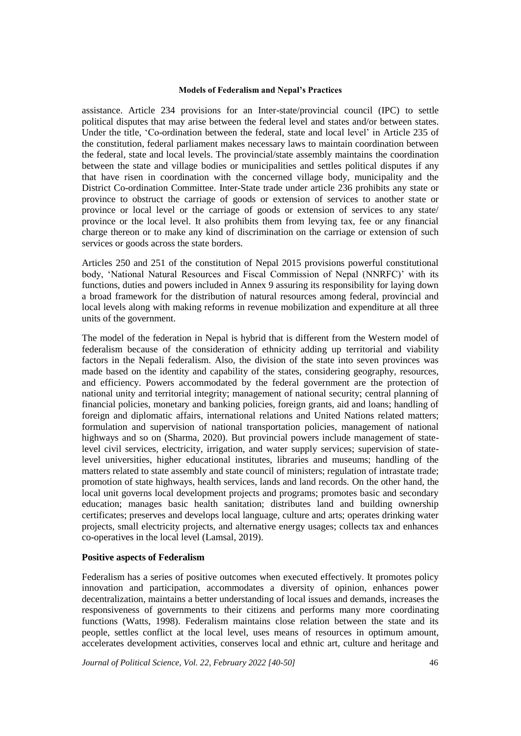assistance. Article 234 provisions for an Inter-state/provincial council (IPC) to settle political disputes that may arise between the federal level and states and/or between states. Under the title, 'Co-ordination between the federal, state and local level' in Article 235 of the constitution, federal parliament makes necessary laws to maintain coordination between the federal, state and local levels. The provincial/state assembly maintains the coordination between the state and village bodies or municipalities and settles political disputes if any that have risen in coordination with the concerned village body, municipality and the District Co-ordination Committee. Inter-State trade under article 236 prohibits any state or province to obstruct the carriage of goods or extension of services to another state or province or local level or the carriage of goods or extension of services to any state/ province or the local level. It also prohibits them from levying tax, fee or any financial charge thereon or to make any kind of discrimination on the carriage or extension of such services or goods across the state borders.

Articles 250 and 251 of the constitution of Nepal 2015 provisions powerful constitutional body, 'National Natural Resources and Fiscal Commission of Nepal (NNRFC)' with its functions, duties and powers included in Annex 9 assuring its responsibility for laying down a broad framework for the distribution of natural resources among federal, provincial and local levels along with making reforms in revenue mobilization and expenditure at all three units of the government.

The model of the federation in Nepal is hybrid that is different from the Western model of federalism because of the consideration of ethnicity adding up territorial and viability factors in the Nepali federalism. Also, the division of the state into seven provinces was made based on the identity and capability of the states, considering geography, resources, and efficiency. Powers accommodated by the federal government are the protection of national unity and territorial integrity; management of national security; central planning of financial policies, monetary and banking policies, foreign grants, aid and loans; handling of foreign and diplomatic affairs, international relations and United Nations related matters; formulation and supervision of national transportation policies, management of national highways and so on (Sharma, 2020). But provincial powers include management of statelevel civil services, electricity, irrigation, and water supply services; supervision of statelevel universities, higher educational institutes, libraries and museums; handling of the matters related to state assembly and state council of ministers; regulation of intrastate trade; promotion of state highways, health services, lands and land records. On the other hand, the local unit governs local development projects and programs; promotes basic and secondary education; manages basic health sanitation; distributes land and building ownership certificates; preserves and develops local language, culture and arts; operates drinking water projects, small electricity projects, and alternative energy usages; collects tax and enhances co-operatives in the local level (Lamsal, 2019).

#### **Positive aspects of Federalism**

Federalism has a series of positive outcomes when executed effectively. It promotes policy innovation and participation, accommodates a diversity of opinion, enhances power decentralization, maintains a better understanding of local issues and demands, increases the responsiveness of governments to their citizens and performs many more coordinating functions (Watts, 1998). Federalism maintains close relation between the state and its people, settles conflict at the local level, uses means of resources in optimum amount, accelerates development activities, conserves local and ethnic art, culture and heritage and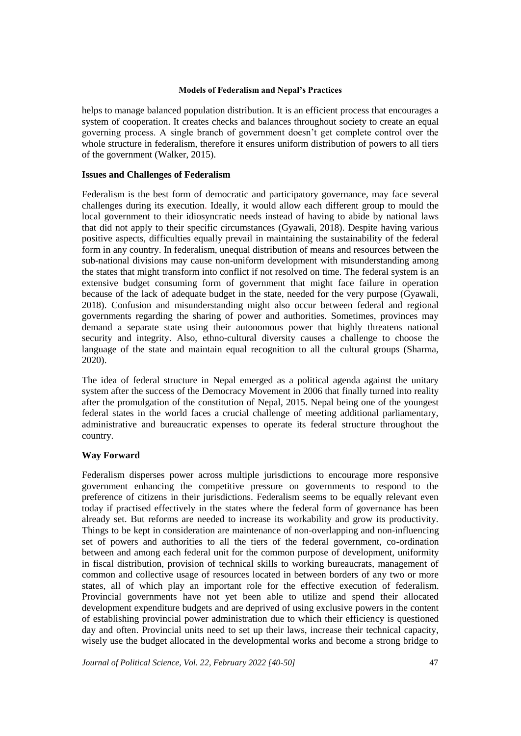helps to manage balanced population distribution. It is an efficient process that encourages a system of cooperation. It creates checks and balances throughout society to create an equal governing process. A single branch of government doesn't get complete control over the whole structure in federalism, therefore it ensures uniform distribution of powers to all tiers of the government (Walker, 2015).

## **Issues and Challenges of Federalism**

Federalism is the best form of democratic and participatory governance, may face several challenges during its execution. Ideally, it would allow each different group to mould the local government to their idiosyncratic needs instead of having to abide by national laws that did not apply to their specific circumstances (Gyawali, 2018). Despite having various positive aspects, difficulties equally prevail in maintaining the sustainability of the federal form in any country. In federalism, unequal distribution of means and resources between the sub-national divisions may cause non-uniform development with misunderstanding among the states that might transform into conflict if not resolved on time. The federal system is an extensive budget consuming form of government that might face failure in operation because of the lack of adequate budget in the state, needed for the very purpose (Gyawali, 2018). Confusion and misunderstanding might also occur between federal and regional governments regarding the sharing of power and authorities. Sometimes, provinces may demand a separate state using their autonomous power that highly threatens national security and integrity. Also, ethno-cultural diversity causes a challenge to choose the language of the state and maintain equal recognition to all the cultural groups (Sharma, 2020).

The idea of federal structure in Nepal emerged as a political agenda against the unitary system after the success of the Democracy Movement in 2006 that finally turned into reality after the promulgation of the constitution of Nepal, 2015. Nepal being one of the youngest federal states in the world faces a crucial challenge of meeting additional parliamentary, administrative and bureaucratic expenses to operate its federal structure throughout the country.

## **Way Forward**

Federalism disperses power across multiple jurisdictions to encourage more responsive government enhancing the competitive pressure on governments to respond to the preference of citizens in their jurisdictions. Federalism seems to be equally relevant even today if practised effectively in the states where the federal form of governance has been already set. But reforms are needed to increase its workability and grow its productivity. Things to be kept in consideration are maintenance of non-overlapping and non-influencing set of powers and authorities to all the tiers of the federal government, co-ordination between and among each federal unit for the common purpose of development, uniformity in fiscal distribution, provision of technical skills to working bureaucrats, management of common and collective usage of resources located in between borders of any two or more states, all of which play an important role for the effective execution of federalism. Provincial governments have not yet been able to utilize and spend their allocated development expenditure budgets and are deprived of using exclusive powers in the content of establishing provincial power administration due to which their efficiency is questioned day and often. Provincial units need to set up their laws, increase their technical capacity, wisely use the budget allocated in the developmental works and become a strong bridge to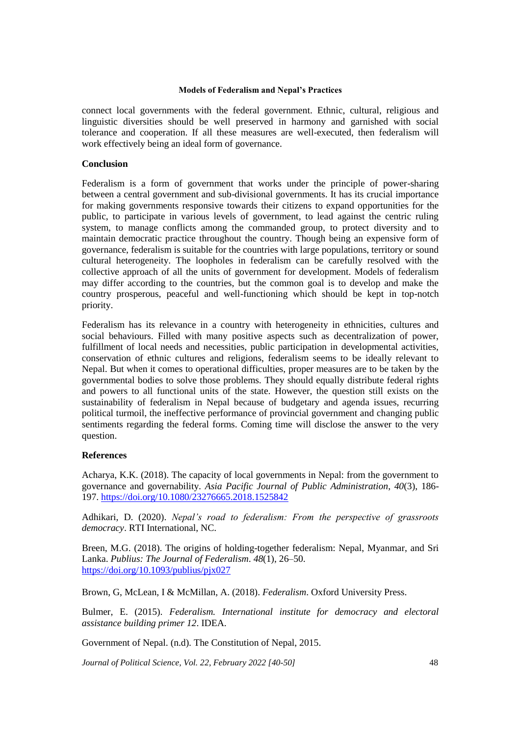connect local governments with the federal government. Ethnic, cultural, religious and linguistic diversities should be well preserved in harmony and garnished with social tolerance and cooperation. If all these measures are well-executed, then federalism will work effectively being an ideal form of governance.

## **Conclusion**

Federalism is a form of government that works under the principle of power-sharing between a central government and sub-divisional governments. It has its crucial importance for making governments responsive towards their citizens to expand opportunities for the public, to participate in various levels of government, to lead against the centric ruling system, to manage conflicts among the commanded group, to protect diversity and to maintain democratic practice throughout the country. Though being an expensive form of governance, federalism is suitable for the countries with large populations, territory or sound cultural heterogeneity. The loopholes in federalism can be carefully resolved with the collective approach of all the units of government for development. Models of federalism may differ according to the countries, but the common goal is to develop and make the country prosperous, peaceful and well-functioning which should be kept in top-notch priority.

Federalism has its relevance in a country with heterogeneity in ethnicities, cultures and social behaviours. Filled with many positive aspects such as decentralization of power, fulfillment of local needs and necessities, public participation in developmental activities, conservation of ethnic cultures and religions, federalism seems to be ideally relevant to Nepal. But when it comes to operational difficulties, proper measures are to be taken by the governmental bodies to solve those problems. They should equally distribute federal rights and powers to all functional units of the state. However, the question still exists on the sustainability of federalism in Nepal because of budgetary and agenda issues, recurring political turmoil, the ineffective performance of provincial government and changing public sentiments regarding the federal forms. Coming time will disclose the answer to the very question.

#### **References**

Acharya, K.K. (2018). The capacity of local governments in Nepal: from the government to governance and governability. *Asia Pacific Journal of Public Administration*, *40*(3), 186- 197. <https://doi.org/10.1080/23276665.2018.1525842>

Adhikari, D. (2020). *Nepal's road to federalism: From the perspective of grassroots democracy*. RTI International, NC.

Breen, M.G. (2018). The origins of holding-together federalism: Nepal, Myanmar, and Sri Lanka. *Publius: The Journal of Federalism*. *48*(1), 26–50. <https://doi.org/10.1093/publius/pjx027>

Brown, G, McLean, I & McMillan, A. (2018). *Federalism*. Oxford University Press.

Bulmer, E. (2015). *Federalism. International institute for democracy and electoral assistance building primer 12*. IDEA.

Government of Nepal. (n.d). The Constitution of Nepal, 2015.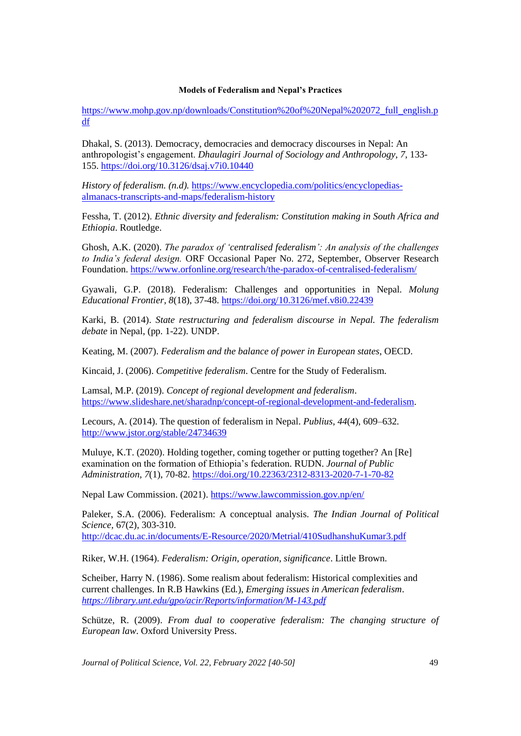[https://www.mohp.gov.np/downloads/Constitution%20of%20Nepal%202072\\_full\\_english.p](https://www.mohp.gov.np/downloads/Constitution%20of%20Nepal%202072_full_english.pdf) [df](https://www.mohp.gov.np/downloads/Constitution%20of%20Nepal%202072_full_english.pdf)

Dhakal, S. (2013). Democracy, democracies and democracy discourses in Nepal: An anthropologist's engagement. *Dhaulagiri Journal of Sociology and Anthropology*, *7*, 133- 155. <https://doi.org/10.3126/dsaj.v7i0.10440>

*History of federalism. (n.d).* [https://www.encyclopedia.com/politics/encyclopedias](https://www.encyclopedia.com/politics/encyclopedias-almanacs-transcripts-and-maps/federalism-history)[almanacs-transcripts-and-maps/federalism-history](https://www.encyclopedia.com/politics/encyclopedias-almanacs-transcripts-and-maps/federalism-history)

Fessha, T. (2012). *Ethnic diversity and federalism: Constitution making in South Africa and Ethiopia*. Routledge.

Ghosh, A.K. (2020). *The paradox of 'centralised federalism': An analysis of the challenges to India's federal design.* ORF Occasional Paper No. 272, September, Observer Research Foundation. <https://www.orfonline.org/research/the-paradox-of-centralised-federalism/>

Gyawali, G.P. (2018). Federalism: Challenges and opportunities in Nepal. *Molung Educational Frontier*, *8*(18), 37-48.<https://doi.org/10.3126/mef.v8i0.22439>

Karki, B. (2014). *State restructuring and federalism discourse in Nepal. The federalism debate* in Nepal, (pp. 1-22). UNDP.

Keating, M. (2007). *Federalism and the balance of power in European states*, OECD.

Kincaid, J. (2006). *Competitive federalism*. Centre for the Study of Federalism.

Lamsal, M.P. (2019). *Concept of regional development and federalism*. [https://www.slideshare.net/sharadnp/concept-of-regional-development-and-federalism.](https://www.slideshare.net/sharadnp/concept-of-regional-development-and-federalism)

Lecours, A. (2014). The question of federalism in Nepal. *Publius*, *44*(4), 609–632. <http://www.jstor.org/stable/24734639>

Muluye, K.T. (2020). Holding together, coming together or putting together? An [Re] examination on the formation of Ethiopia's federation*.* RUDN. *Journal of Public Administration, 7*(1), 70-82.<https://doi.org/10.22363/2312-8313-2020-7-1-70-82>

Nepal Law Commission. (2021). <https://www.lawcommission.gov.np/en/>

Paleker, S.A. (2006). Federalism: A conceptual analysis. *The Indian Journal of Political Science,* 67(2), 303-310. <http://dcac.du.ac.in/documents/E-Resource/2020/Metrial/410SudhanshuKumar3.pdf>

Riker, W.H. (1964). *Federalism: Origin, operation, significance*. Little Brown.

Scheiber, Harry N. (1986). Some realism about federalism: Historical complexities and current challenges. In R.B Hawkins (Ed*.*), *Emerging issues in American federalism*. *<https://library.unt.edu/gpo/acir/Reports/information/M-143.pdf>*

Schütze, R. (2009). *From dual to cooperative federalism: The changing structure of European law*. Oxford University Press.